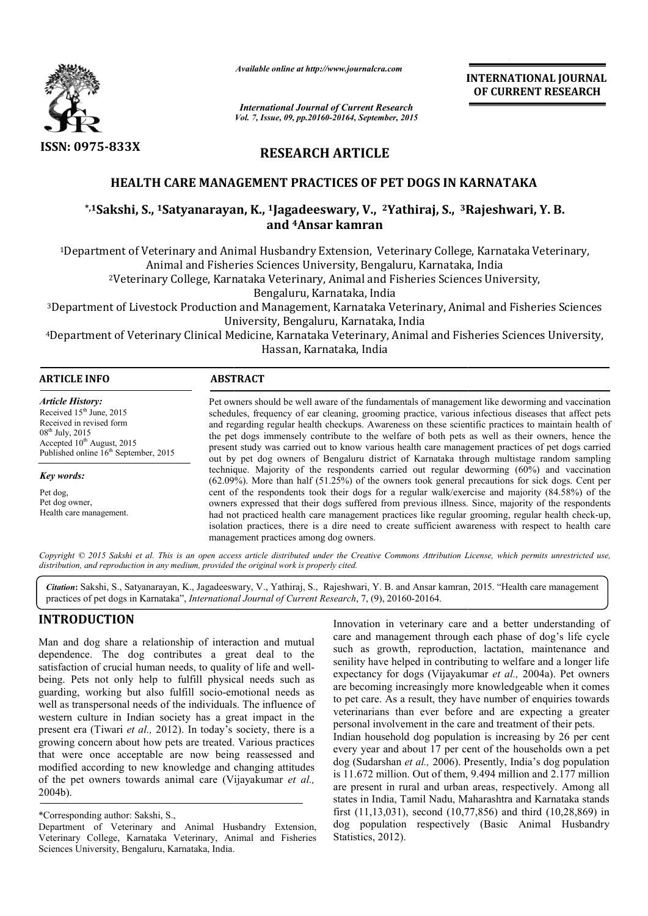

*Available online at http://www.journalcra.com*

**INTERNATIONAL INTERNATIONAL JOURNAL OF CURRENT RESEARCH** 

*International Journal of Current Research Vol. 7, Issue, 09, pp.20160-20164, September, 2015*

# **RESEARCH ARTICLE**

#### **HEALTH CARE MANAGEMENT PRACTICES OF PET DOGS IN KARNATAKA**

# **\*,1Sakshi, S., 1Satyanarayan, K. Satyanarayan, K., 1Jagadeeswary, V., 2Yathiraj, S., 3Rajeshwari, Y. B. KARNATAKARajeshwari, and 4Ansar kamran**

<sup>1</sup>Department of Veterinary and Animal Husbandry Extension, Veterinary College, Karnataka Veterinary,<br>Animal and Fisheries Sciences University, Bengaluru, Karnataka, India<br><sup>2</sup>Veterinary College, Karnataka Veterinary, Anima Animal and Fisheries Sciences University, Bengaluru, Karnataka, India <sup>1</sup>Department of Veterinary and Animal Husbandry Extension, Veterinary College, Karnataka Veterinary,<br>Animal and Fisheries Sciences University, Bengaluru, Karnataka, India<br><sup>2</sup>Veterinary College, Karnataka Veterinary, Anima

2Veterinary College, Karnataka Veterinary, Animal and Fisheries Sciences University,

University, Bengaluru, Karnataka, India Department of Livestock Production and Management, Karnataka<sup>,</sup><br>University, Bengaluru, Karnatak<br>Department of Veterinary Clinical Medicine, Karnataka Veterinary<br>Hassan, Karnataka, India

4Department of Veterinary Clinical Medicine, Karnataka Veterinary, Animal and Fisheries Sciences University, Clinical

| <b>ARTICLE INFO</b> | <b>ABSTRACT</b> |
|---------------------|-----------------|
|                     |                 |

*Article History:* Received  $15<sup>th</sup>$  June, 2015 Received in revised form 08<sup>th</sup> July, 2015 Accepted 10<sup>th</sup> August, 2015 Published online  $16<sup>th</sup>$  September, 2015

*Key words:*

Pet dog, Pet dog owner, Health care management.

Pet owners should be well aware of the fundamentals of management like deworming and vaccination schedules, frequency of ear cleaning, grooming practice, various infectious diseases that affect pets and regarding regular health checkups. Awareness on these scientific practices to maintain health of the pet dogs immensely contribute to the welfare of both pets as well as their owners, hence the present study was carried out to know various health care manage out by pet dog owners of Bengaluru district of Karnataka through multistage random sampling technique. Majority of the respondents carried out regular deworming (60%) and vaccination out by pet dog owners of Bengaluru district of Karnataka through multistage random sampling technique. Majority of the respondents carried out regular deworming (60%) and vaccination (62.09%). More than half (51.25%) of th cent of the respondents took their dogs for a regular walk/exercise and majority (84.58%) of the owners expressed that their dogs suffered from previous illness. Since, majority of the respondents had not practiced health care management practices like regular grooming, regular health check isolation practices, there is a dire need to create sufficient awareness with respect to health care management practices among dog owners. should be well aware of the fundamentals of management like deworming and vaccination frequency of ear cleaning, grooming practice, various infectious diseases that affect pets ng regular health checkups. Awareness on thes the respondents took their dogs for a regular walk/exercise and majority (84.58%) of the expressed that their dogs suffered from previous illness. Since, majority of the respondents practiced health care management practic INTERNATIONAL JOURNAL  $\mu$ Current Research<br>
CET (CEREENT RESEARCH<br>
20164, September, 2015<br>
ARTICLE<br>
ICES OF PET DOGS IN KARNATAKA<br>
vary,  $V$ , <sup>2</sup>Yathiraj, 5., <sup>3</sup>Rajeshwari, Y. B.<br>
kamran<br>
tension, Veterinary College, Kam

Copyright © 2015 Sakshi et al. This is an open access article distributed under the Creative Commons Attribution License, which permits unrestricted use, *distribution, and reproduction in any medium, provided the original work is properly cited.*

Citation: Sakshi, S., Satyanarayan, K., Jagadeeswary, V., Yathiraj, S., Rajeshwari, Y. B. and Ansar kamran, 2015. "Health care management practices of pet dogs in Karnataka", *International Journal of Current Research* , 7, (9), 20160-20164.

# **INTRODUCTION**

Man and dog share a relationship of interaction and mutual dependence. The dog contributes a great deal to the satisfaction of crucial human needs, to quality of life and wellbeing. Pets not only help to fulfill physical needs such as guarding, working but also fulfill socio-emotional needs as well as transpersonal needs of the individuals. The influence of western culture in Indian society has a great impact in the present era (Tiwari *et al.,* 2012). In today's society, there is a growing concern about how pets are treated. Various practices that were once acceptable are now being reassessed and modified according to new knowledge and changing attitudes of the pet owners towards animal care (Vijayakumar et al., 2004b). orking but also fulfill socio-emotional needs as<br>personal needs of the individuals. The influence of<br>ure in Indian society has a great impact in the<br>Tiwari *et al.*, 2012). In today's society, there is a<br>cern about how pet

Innovation in veterinary care and a better understanding of care and management through each phase of dog's life cycle such as growth, reproduction, lactation, maintenance and senility have helped in contributing to welfare and a longer life expectancy for dogs (Vijayakumar *et al.*, 2004a). Pet owners are becoming increasingly more knowledgeable when it comes to pet care. As a result, they have number of enquiries towards veterinarians than ever before and are expecting a greater personal involvement in the care and treatment of their pets. care and management through each phase of dog's life cycle<br>such as growth, reproduction, lactation, maintenance and<br>senility have helped in contributing to welfare and a longer life<br>expectancy for dogs (Vijayakumar *et al.* 

Indian household dog population is increasing by 26 per cent every year and about 17 per cent of the households own a pet dog (Sudarshan *et al.,* 2006). Presently, India's dog population is 11.672 million. Out of them, 9.494 million and 2.177 million are present in rural and urban areas, respectively. Among all states in India, Tamil Nadu, Maharashtra and Karnataka stands first (11,13,031), second (10,77,856) and third (10,28,869) in dog population respectively (Basic Animal Husbandry Statistics, 2012).

<sup>\*</sup>Corresponding author: Sakshi, S.,

Department of Veterinary and Animal Husbandry Extension, Veterinary College, Karnataka Veterinary, Animal and Fisheries Sciences University, Bengaluru, Karnataka, India.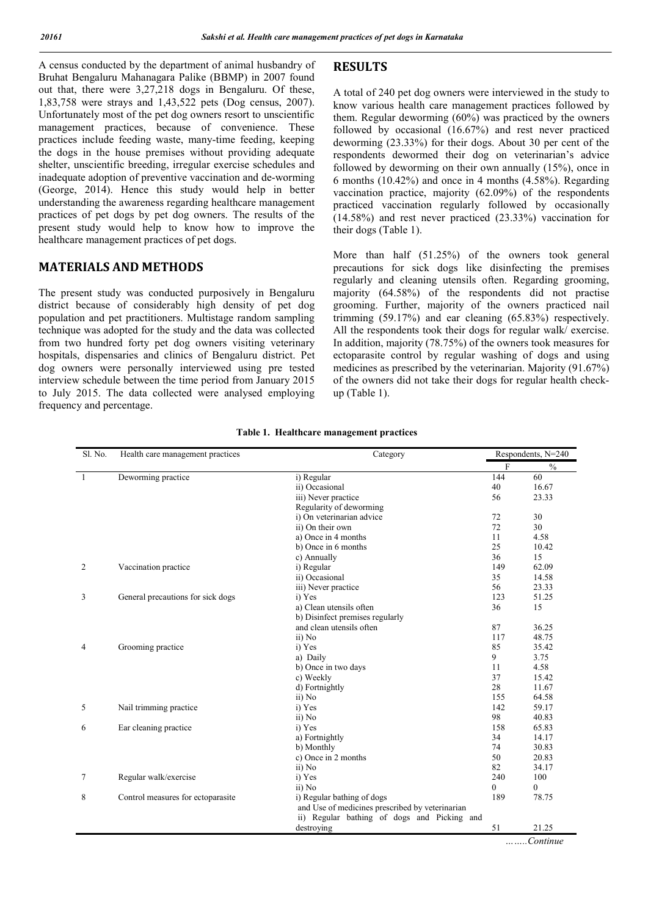A census conducted by the department of animal husbandry of Bruhat Bengaluru Mahanagara Palike (BBMP) in 2007 found out that, there were 3,27,218 dogs in Bengaluru. Of these, 1,83,758 were strays and 1,43,522 pets (Dog census, 2007). Unfortunately most of the pet dog owners resort to unscientific management practices, because of convenience. These practices include feeding waste, many-time feeding, keeping the dogs in the house premises without providing adequate shelter, unscientific breeding, irregular exercise schedules and inadequate adoption of preventive vaccination and de-worming (George, 2014). Hence this study would help in better understanding the awareness regarding healthcare management practices of pet dogs by pet dog owners. The results of the present study would help to know how to improve the healthcare management practices of pet dogs.

### **MATERIALS AND METHODS**

The present study was conducted purposively in Bengaluru district because of considerably high density of pet dog population and pet practitioners. Multistage random sampling technique was adopted for the study and the data was collected from two hundred forty pet dog owners visiting veterinary hospitals, dispensaries and clinics of Bengaluru district. Pet dog owners were personally interviewed using pre tested interview schedule between the time period from January 2015 to July 2015. The data collected were analysed employing frequency and percentage.

# **RESULTS**

A total of 240 pet dog owners were interviewed in the study to know various health care management practices followed by them. Regular deworming  $(60\%)$  was practiced by the owners followed by occasional (16.67%) and rest never practiced deworming (23.33%) for their dogs. About 30 per cent of the respondents dewormed their dog on veterinarian's advice followed by deworming on their own annually (15%), once in 6 months (10.42%) and once in 4 months (4.58%). Regarding vaccination practice, majority (62.09%) of the respondents practiced vaccination regularly followed by occasionally (14.58%) and rest never practiced (23.33%) vaccination for their dogs (Table 1).

More than half (51.25%) of the owners took general precautions for sick dogs like disinfecting the premises regularly and cleaning utensils often. Regarding grooming, majority (64.58%) of the respondents did not practise grooming. Further, majority of the owners practiced nail trimming (59.17%) and ear cleaning (65.83%) respectively. All the respondents took their dogs for regular walk/ exercise. In addition, majority (78.75%) of the owners took measures for ectoparasite control by regular washing of dogs and using medicines as prescribed by the veterinarian. Majority (91.67%) of the owners did not take their dogs for regular health checkup (Table 1).

| Sl. No. | Health care management practices  | Category                                        | Respondents, N=240 |               |
|---------|-----------------------------------|-------------------------------------------------|--------------------|---------------|
|         |                                   |                                                 | $\mathbf F$        | $\frac{0}{0}$ |
| 1       | Deworming practice                | i) Regular                                      | 144                | 60            |
|         |                                   | ii) Occasional                                  | 40                 | 16.67         |
|         |                                   | iii) Never practice                             | 56                 | 23.33         |
|         |                                   | Regularity of deworming                         |                    |               |
|         |                                   | i) On veterinarian advice                       | 72                 | 30            |
|         |                                   | ii) On their own                                | 72                 | 30            |
|         |                                   | a) Once in 4 months                             | 11                 | 4.58          |
|         |                                   | b) Once in 6 months                             | 25                 | 10.42         |
|         |                                   | c) Annually                                     | 36                 | 15            |
| 2       | Vaccination practice              | i) Regular                                      | 149                | 62.09         |
|         |                                   | ii) Occasional                                  | 35                 | 14.58         |
|         |                                   | iii) Never practice                             | 56                 | 23.33         |
| 3       | General precautions for sick dogs | i) Yes                                          | 123                | 51.25         |
|         |                                   | a) Clean utensils often                         | 36                 | 15            |
|         |                                   | b) Disinfect premises regularly                 |                    |               |
|         |                                   | and clean utensils often                        | 87                 | 36.25         |
|         |                                   | ii) No                                          | 117                | 48.75         |
| 4       | Grooming practice                 | i) Yes                                          | 85                 | 35.42         |
|         |                                   | a) Daily                                        | 9                  | 3.75          |
|         |                                   | b) Once in two days                             | 11                 | 4.58          |
|         |                                   | c) Weekly                                       | 37                 | 15.42         |
|         |                                   | d) Fortnightly                                  | 28                 | 11.67         |
|         |                                   | ii) No                                          | 155                | 64.58         |
| 5       | Nail trimming practice            | i) Yes                                          | 142                | 59.17         |
|         |                                   | ii) No                                          | 98                 | 40.83         |
| 6       | Ear cleaning practice             | i) Yes                                          | 158                | 65.83         |
|         |                                   | a) Fortnightly                                  | 34                 | 14.17         |
|         |                                   | b) Monthly                                      | 74                 | 30.83         |
|         |                                   | c) Once in 2 months                             | 50                 | 20.83         |
|         |                                   | ii) No                                          | 82                 | 34.17         |
| 7       | Regular walk/exercise             | i) Yes                                          | 240                | 100           |
|         |                                   | ii) No                                          | $\theta$           | $\theta$      |
| 8       | Control measures for ectoparasite | i) Regular bathing of dogs                      | 189                | 78.75         |
|         |                                   | and Use of medicines prescribed by veterinarian |                    |               |
|         |                                   | ii) Regular bathing of dogs and Picking and     |                    |               |
|         |                                   | destroying                                      | 51                 | 21.25         |
|         |                                   |                                                 |                    | $$ Continue   |

**Table 1. Healthcare management practices**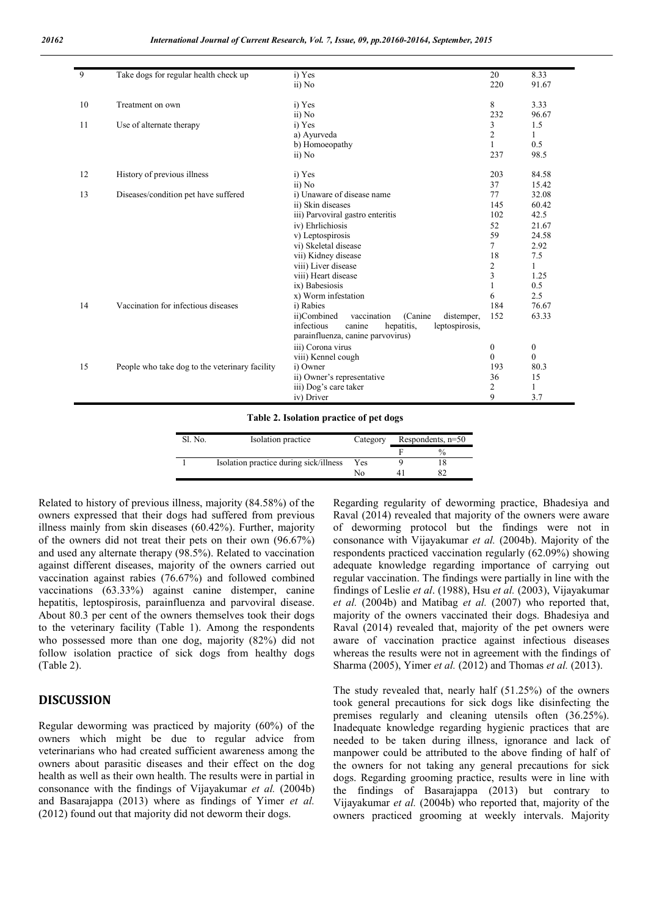| 9  | Take dogs for regular health check up          | i) Yes                                               | 20               | 8.33             |
|----|------------------------------------------------|------------------------------------------------------|------------------|------------------|
|    |                                                | ii) No                                               | 220              | 91.67            |
| 10 | Treatment on own                               | i) Yes                                               | 8                | 3.33             |
|    |                                                | ii) No                                               | 232              | 96.67            |
| 11 | Use of alternate therapy                       | i) Yes                                               | 3                | 1.5              |
|    |                                                | a) Ayurveda                                          | 2                | 1                |
|    |                                                | b) Homoeopathy                                       | $\mathbf{1}$     | 0.5              |
|    |                                                | ii) No                                               | 237              | 98.5             |
| 12 | History of previous illness                    | i) Yes                                               | 203              | 84.58            |
|    |                                                | ii) No                                               | 37               | 15.42            |
| 13 | Diseases/condition pet have suffered           | i) Unaware of disease name                           | 77               | 32.08            |
|    |                                                | ii) Skin diseases                                    | 145              | 60.42            |
|    |                                                | iii) Parvoviral gastro enteritis                     | 102              | 42.5             |
|    |                                                | iv) Ehrlichiosis                                     | 52               | 21.67            |
|    |                                                | v) Leptospirosis                                     | 59               | 24.58            |
|    |                                                | vi) Skeletal disease                                 | $\overline{7}$   | 2.92             |
|    |                                                | vii) Kidney disease                                  | 18               | 7.5              |
|    |                                                | viii) Liver disease                                  | 2                | 1                |
|    |                                                | viii) Heart disease                                  | $\overline{3}$   | 1.25             |
|    |                                                | ix) Babesiosis                                       | $\mathbf{1}$     | 0.5              |
|    |                                                | x) Worm infestation                                  | 6                | 2.5              |
| 14 | Vaccination for infectious diseases            | i) Rabies                                            | 184              | 76.67            |
|    |                                                | ii)Combined<br>(Canine)<br>vaccination<br>distemper, | 152              | 63.33            |
|    |                                                | infectious<br>hepatitis,<br>canine<br>leptospirosis, |                  |                  |
|    |                                                | parainfluenza, canine parvovirus)                    |                  |                  |
|    |                                                | iii) Corona virus                                    | $\boldsymbol{0}$ | $\boldsymbol{0}$ |
|    |                                                | viii) Kennel cough                                   | $\theta$         | $\mathbf{0}$     |
| 15 | People who take dog to the veterinary facility | i) Owner                                             | 193              | 80.3             |
|    |                                                | ii) Owner's representative                           | 36               | 15               |
|    |                                                | iii) Dog's care taker                                | $\overline{2}$   | 1                |
|    |                                                | iv) Driver                                           | 9                | 3.7              |
|    |                                                |                                                      |                  |                  |

**Table 2. Isolation practice of pet dogs**

| Sl. No. | Isolation practice                     | Category | Respondents, $n=50$ |  |
|---------|----------------------------------------|----------|---------------------|--|
|         |                                        |          |                     |  |
|         | Isolation practice during sick/illness | Yes      |                     |  |
|         |                                        | N٥       |                     |  |
|         |                                        |          |                     |  |

Related to history of previous illness, majority (84.58%) of the owners expressed that their dogs had suffered from previous illness mainly from skin diseases (60.42%). Further, majority of the owners did not treat their pets on their own (96.67%) and used any alternate therapy (98.5%). Related to vaccination against different diseases, majority of the owners carried out vaccination against rabies (76.67%) and followed combined vaccinations (63.33%) against canine distemper, canine hepatitis, leptospirosis, parainfluenza and parvoviral disease. About 80.3 per cent of the owners themselves took their dogs to the veterinary facility (Table 1). Among the respondents who possessed more than one dog, majority (82%) did not follow isolation practice of sick dogs from healthy dogs (Table 2).

## **DISCUSSION**

Regular deworming was practiced by majority (60%) of the owners which might be due to regular advice from veterinarians who had created sufficient awareness among the owners about parasitic diseases and their effect on the dog health as well as their own health. The results were in partial in consonance with the findings of Vijayakumar *et al.* (2004b) and Basarajappa (2013) where as findings of Yimer *et al.* (2012) found out that majority did not deworm their dogs.

Regarding regularity of deworming practice, Bhadesiya and Raval (2014) revealed that majority of the owners were aware of deworming protocol but the findings were not in consonance with Vijayakumar *et al.* (2004b). Majority of the respondents practiced vaccination regularly (62.09%) showing adequate knowledge regarding importance of carrying out regular vaccination. The findings were partially in line with the findings of Leslie *et al*. (1988), Hsu *et al.* (2003), Vijayakumar *et al.* (2004b) and Matibag *et al.* (2007) who reported that, majority of the owners vaccinated their dogs. Bhadesiya and Raval (2014) revealed that, majority of the pet owners were aware of vaccination practice against infectious diseases whereas the results were not in agreement with the findings of Sharma (2005), Yimer *et al.* (2012) and Thomas *et al.* (2013).

The study revealed that, nearly half (51.25%) of the owners took general precautions for sick dogs like disinfecting the premises regularly and cleaning utensils often (36.25%). Inadequate knowledge regarding hygienic practices that are needed to be taken during illness, ignorance and lack of manpower could be attributed to the above finding of half of the owners for not taking any general precautions for sick dogs. Regarding grooming practice, results were in line with the findings of Basarajappa (2013) but contrary to Vijayakumar *et al.* (2004b) who reported that, majority of the owners practiced grooming at weekly intervals. Majority

ń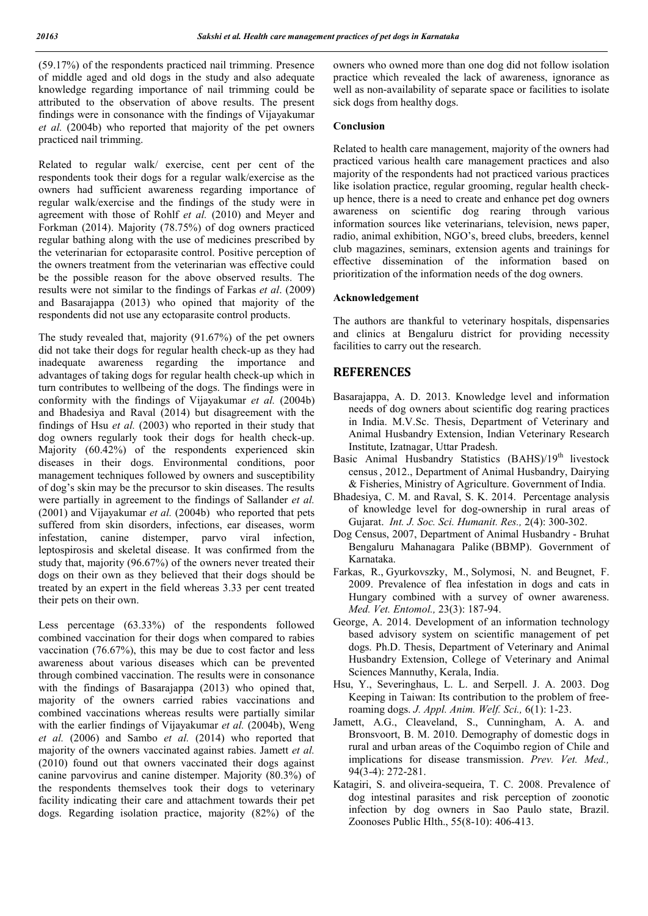(59.17%) of the respondents practiced nail trimming. Presence of middle aged and old dogs in the study and also adequate knowledge regarding importance of nail trimming could be attributed to the observation of above results. The present findings were in consonance with the findings of Vijayakumar *et al.* (2004b) who reported that majority of the pet owners practiced nail trimming.

Related to regular walk/ exercise, cent per cent of the respondents took their dogs for a regular walk/exercise as the owners had sufficient awareness regarding importance of regular walk/exercise and the findings of the study were in agreement with those of Rohlf *et al.* (2010) and Meyer and Forkman (2014). Majority (78.75%) of dog owners practiced regular bathing along with the use of medicines prescribed by the veterinarian for ectoparasite control. Positive perception of the owners treatment from the veterinarian was effective could be the possible reason for the above observed results. The results were not similar to the findings of Farkas *et al*. (2009) and Basarajappa (2013) who opined that majority of the respondents did not use any ectoparasite control products.

The study revealed that, majority (91.67%) of the pet owners did not take their dogs for regular health check-up as they had inadequate awareness regarding the importance and advantages of taking dogs for regular health check-up which in turn contributes to wellbeing of the dogs. The findings were in conformity with the findings of Vijayakumar *et al.* (2004b) and Bhadesiya and Raval (2014) but disagreement with the findings of Hsu *et al.* (2003) who reported in their study that dog owners regularly took their dogs for health check-up. Majority (60.42%) of the respondents experienced skin diseases in their dogs. Environmental conditions, poor management techniques followed by owners and susceptibility of dog's skin may be the precursor to skin diseases. The results were partially in agreement to the findings of Sallander *et al.* (2001) and Vijayakumar *et al.* (2004b) who reported that pets suffered from skin disorders, infections, ear diseases, worm infestation, canine distemper, parvo viral infection, leptospirosis and skeletal disease. It was confirmed from the study that, majority (96.67%) of the owners never treated their dogs on their own as they believed that their dogs should be treated by an expert in the field whereas 3.33 per cent treated their pets on their own.

Less percentage (63.33%) of the respondents followed combined vaccination for their dogs when compared to rabies vaccination (76.67%), this may be due to cost factor and less awareness about various diseases which can be prevented through combined vaccination. The results were in consonance with the findings of Basarajappa (2013) who opined that, majority of the owners carried rabies vaccinations and combined vaccinations whereas results were partially similar with the earlier findings of Vijayakumar et al. (2004b), Weng *et al.* (2006) and Sambo *et al.* (2014) who reported that majority of the owners vaccinated against rabies. Jamett *et al.* (2010) found out that owners vaccinated their dogs against canine parvovirus and canine distemper. Majority (80.3%) of the respondents themselves took their dogs to veterinary facility indicating their care and attachment towards their pet dogs. Regarding isolation practice, majority (82%) of the

owners who owned more than one dog did not follow isolation practice which revealed the lack of awareness, ignorance as well as non-availability of separate space or facilities to isolate sick dogs from healthy dogs.

#### **Conclusion**

Related to health care management, majority of the owners had practiced various health care management practices and also majority of the respondents had not practiced various practices like isolation practice, regular grooming, regular health checkup hence, there is a need to create and enhance pet dog owners awareness on scientific dog rearing through various information sources like veterinarians, television, news paper, radio, animal exhibition, NGO's, breed clubs, breeders, kennel club magazines, seminars, extension agents and trainings for effective dissemination of the information based on prioritization of the information needs of the dog owners.

#### **Acknowledgement**

The authors are thankful to veterinary hospitals, dispensaries and clinics at Bengaluru district for providing necessity facilities to carry out the research.

#### **REFERENCES**

- Basarajappa, A. D. 2013. Knowledge level and information needs of dog owners about scientific dog rearing practices in India. M.V.Sc. Thesis, Department of Veterinary and Animal Husbandry Extension, Indian Veterinary Research Institute, Izatnagar, Uttar Pradesh.
- Basic Animal Husbandry Statistics (BAHS)/19<sup>th</sup> livestock census, 2012., Department of Animal Husbandry, Dairying & Fisheries, Ministry of Agriculture. Government of India.
- Bhadesiya, C. M. and Raval, S. K. 2014. Percentage analysis of knowledge level for dog-ownership in rural areas of Gujarat. *Int. J. Soc. Sci. Humanit. Res.,* 2(4): 300-302.
- Dog Census, 2007, Department of Animal Husbandry Bruhat Bengaluru Mahanagara Palike (BBMP). Government of Karnataka.
- Farkas, R., Gyurkovszky, M., Solymosi, N. and Beugnet, F. 2009. Prevalence of flea infestation in dogs and cats in Hungary combined with a survey of owner awareness. *Med. Vet. Entomol.,* 23(3): 187-94.
- George, A. 2014. Development of an information technology based advisory system on scientific management of pet dogs. Ph.D. Thesis, Department of Veterinary and Animal Husbandry Extension, College of Veterinary and Animal Sciences Mannuthy, Kerala, India.
- Hsu, Y., Severinghaus, L. L. and Serpell. J. A. 2003. Dog Keeping in Taiwan: Its contribution to the problem of freeroaming dogs. *J. Appl. Anim. Welf. Sci.,* 6(1): 1-23.
- Jamett, A.G., Cleaveland, S., Cunningham, A. A. and Bronsvoort, B. M. 2010. Demography of domestic dogs in rural and urban areas of the Coquimbo region of Chile and implications for disease transmission. *Prev. Vet. Med.,* 94(3-4): 272-281.
- Katagiri, S. and oliveira-sequeira, T. C. 2008. Prevalence of dog intestinal parasites and risk perception of zoonotic infection by dog owners in Sao Paulo state, Brazil. Zoonoses Public Hlth., 55(8-10): 406-413.